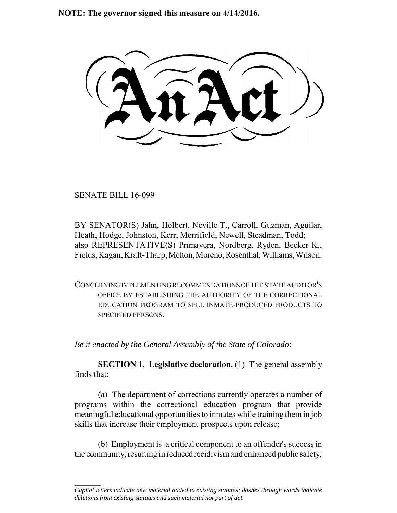**NOTE: The governor signed this measure on 4/14/2016.**

SENATE BILL 16-099

 $\frac{1}{2}$ 

BY SENATOR(S) Jahn, Holbert, Neville T., Carroll, Guzman, Aguilar, Heath, Hodge, Johnston, Kerr, Merrifield, Newell, Steadman, Todd; also REPRESENTATIVE(S) Primavera, Nordberg, Ryden, Becker K., Fields, Kagan, Kraft-Tharp, Melton, Moreno, Rosenthal, Williams, Wilson.

CONCERNING IMPLEMENTING RECOMMENDATIONS OF THE STATE AUDITOR'S OFFICE BY ESTABLISHING THE AUTHORITY OF THE CORRECTIONAL EDUCATION PROGRAM TO SELL INMATE-PRODUCED PRODUCTS TO SPECIFIED PERSONS.

*Be it enacted by the General Assembly of the State of Colorado:*

**SECTION 1. Legislative declaration.** (1) The general assembly finds that:

(a) The department of corrections currently operates a number of programs within the correctional education program that provide meaningful educational opportunities to inmates while training them in job skills that increase their employment prospects upon release;

(b) Employment is a critical component to an offender's success in the community, resulting in reduced recidivism and enhanced public safety;

*Capital letters indicate new material added to existing statutes; dashes through words indicate deletions from existing statutes and such material not part of act.*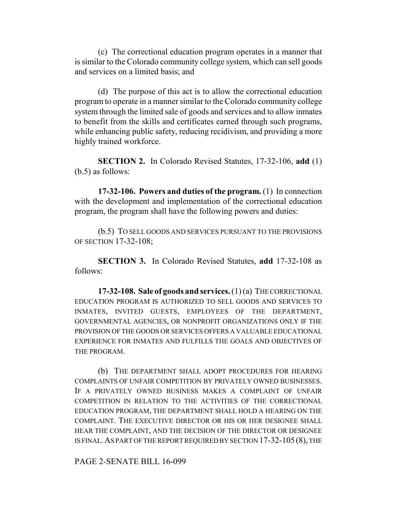(c) The correctional education program operates in a manner that is similar to the Colorado community college system, which can sell goods and services on a limited basis; and

(d) The purpose of this act is to allow the correctional education program to operate in a manner similar to the Colorado community college system through the limited sale of goods and services and to allow inmates to benefit from the skills and certificates earned through such programs, while enhancing public safety, reducing recidivism, and providing a more highly trained workforce.

**SECTION 2.** In Colorado Revised Statutes, 17-32-106, **add** (1) (b.5) as follows:

**17-32-106. Powers and duties of the program.** (1) In connection with the development and implementation of the correctional education program, the program shall have the following powers and duties:

(b.5) TO SELL GOODS AND SERVICES PURSUANT TO THE PROVISIONS OF SECTION 17-32-108;

**SECTION 3.** In Colorado Revised Statutes, **add** 17-32-108 as follows:

**17-32-108. Sale of goods and services.** (1) (a) THE CORRECTIONAL EDUCATION PROGRAM IS AUTHORIZED TO SELL GOODS AND SERVICES TO INMATES, INVITED GUESTS, EMPLOYEES OF THE DEPARTMENT, GOVERNMENTAL AGENCIES, OR NONPROFIT ORGANIZATIONS ONLY IF THE PROVISION OF THE GOODS OR SERVICES OFFERS A VALUABLE EDUCATIONAL EXPERIENCE FOR INMATES AND FULFILLS THE GOALS AND OBJECTIVES OF THE PROGRAM.

(b) THE DEPARTMENT SHALL ADOPT PROCEDURES FOR HEARING COMPLAINTS OF UNFAIR COMPETITION BY PRIVATELY OWNED BUSINESSES. IF A PRIVATELY OWNED BUSINESS MAKES A COMPLAINT OF UNFAIR COMPETITION IN RELATION TO THE ACTIVITIES OF THE CORRECTIONAL EDUCATION PROGRAM, THE DEPARTMENT SHALL HOLD A HEARING ON THE COMPLAINT. THE EXECUTIVE DIRECTOR OR HIS OR HER DESIGNEE SHALL HEAR THE COMPLAINT, AND THE DECISION OF THE DIRECTOR OR DESIGNEE IS FINAL.AS PART OF THE REPORT REQUIRED BY SECTION 17-32-105(8), THE

PAGE 2-SENATE BILL 16-099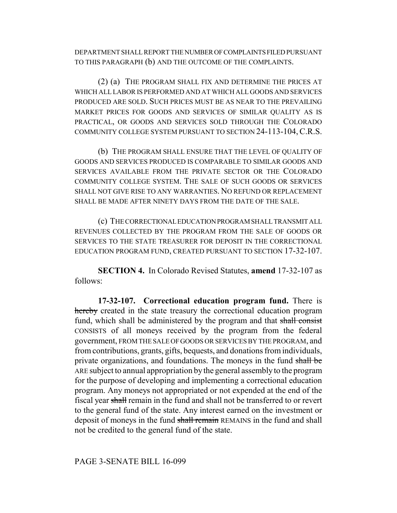DEPARTMENT SHALL REPORT THE NUMBER OF COMPLAINTS FILED PURSUANT TO THIS PARAGRAPH (b) AND THE OUTCOME OF THE COMPLAINTS.

(2) (a) THE PROGRAM SHALL FIX AND DETERMINE THE PRICES AT WHICH ALL LABOR IS PERFORMED AND AT WHICH ALL GOODS AND SERVICES PRODUCED ARE SOLD. SUCH PRICES MUST BE AS NEAR TO THE PREVAILING MARKET PRICES FOR GOODS AND SERVICES OF SIMILAR QUALITY AS IS PRACTICAL, OR GOODS AND SERVICES SOLD THROUGH THE COLORADO COMMUNITY COLLEGE SYSTEM PURSUANT TO SECTION 24-113-104,C.R.S.

(b) THE PROGRAM SHALL ENSURE THAT THE LEVEL OF QUALITY OF GOODS AND SERVICES PRODUCED IS COMPARABLE TO SIMILAR GOODS AND SERVICES AVAILABLE FROM THE PRIVATE SECTOR OR THE COLORADO COMMUNITY COLLEGE SYSTEM. THE SALE OF SUCH GOODS OR SERVICES SHALL NOT GIVE RISE TO ANY WARRANTIES. NO REFUND OR REPLACEMENT SHALL BE MADE AFTER NINETY DAYS FROM THE DATE OF THE SALE.

(c) THE CORRECTIONAL EDUCATION PROGRAM SHALL TRANSMIT ALL REVENUES COLLECTED BY THE PROGRAM FROM THE SALE OF GOODS OR SERVICES TO THE STATE TREASURER FOR DEPOSIT IN THE CORRECTIONAL EDUCATION PROGRAM FUND, CREATED PURSUANT TO SECTION 17-32-107.

**SECTION 4.** In Colorado Revised Statutes, **amend** 17-32-107 as follows:

**17-32-107. Correctional education program fund.** There is hereby created in the state treasury the correctional education program fund, which shall be administered by the program and that shall consist CONSISTS of all moneys received by the program from the federal government, FROM THE SALE OF GOODS OR SERVICES BY THE PROGRAM, and from contributions, grants, gifts, bequests, and donations from individuals, private organizations, and foundations. The moneys in the fund shall be ARE subject to annual appropriation by the general assembly to the program for the purpose of developing and implementing a correctional education program. Any moneys not appropriated or not expended at the end of the fiscal year shall remain in the fund and shall not be transferred to or revert to the general fund of the state. Any interest earned on the investment or deposit of moneys in the fund shall remain REMAINS in the fund and shall not be credited to the general fund of the state.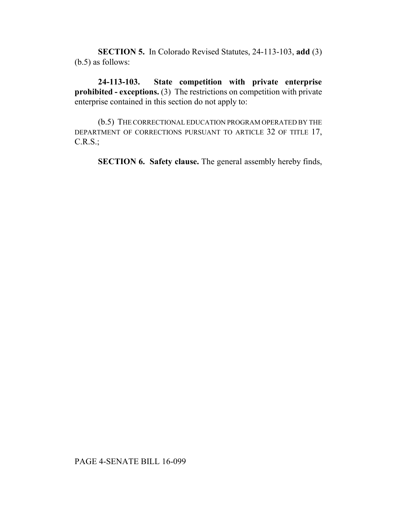**SECTION 5.** In Colorado Revised Statutes, 24-113-103, **add** (3) (b.5) as follows:

**24-113-103. State competition with private enterprise prohibited - exceptions.** (3) The restrictions on competition with private enterprise contained in this section do not apply to:

(b.5) THE CORRECTIONAL EDUCATION PROGRAM OPERATED BY THE DEPARTMENT OF CORRECTIONS PURSUANT TO ARTICLE 32 OF TITLE 17, C.R.S.;

**SECTION 6. Safety clause.** The general assembly hereby finds,